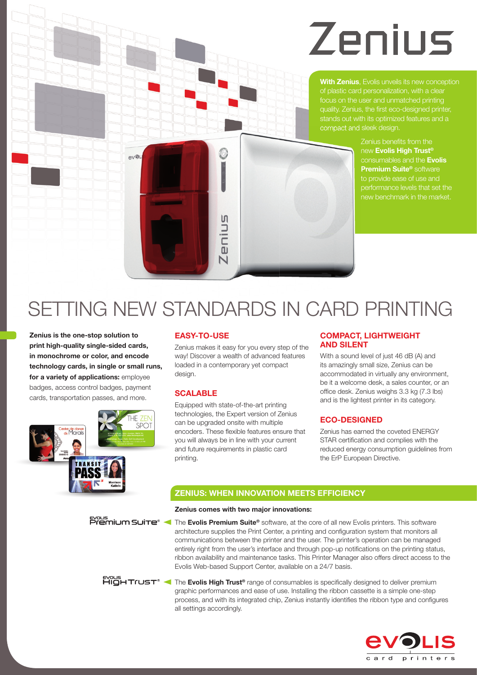# Zenius

**With Zenius**, Evolis unveils its new conception quality. Zenius, the first eco-designed printer, compact and sleek design.

> Zenius benefits from the new **Evolis High Trust®** consumables and the **Evolis Premium Suite®** software to provide ease of use and performance levels that set the new benchmark in the market.



## SETTING NEW STANDARDS IN CARD PRINTING

**Zenius is the one-stop solution to print high-quality single-sided cards, in monochrome or color, and encode technology cards, in single or small runs, for a variety of applications:** employee badges, access control badges, payment cards, transportation passes, and more.



## **EASY-TO-USE**

Zenius makes it easy for you every step of the way! Discover a wealth of advanced features loaded in a contemporary yet compact design.

## **SCALABLE**

Equipped with state-of-the-art printing technologies, the Expert version of Zenius can be upgraded onsite with multiple encoders. These flexible features ensure that you will always be in line with your current and future requirements in plastic card printing.

## **COMPACT, LIGHTWEIGHT AND SILENT**

With a sound level of just 46 dB (A) and its amazingly small size, Zenius can be accommodated in virtually any environment, be it a welcome desk, a sales counter, or an office desk. Zenius weighs 3.3 kg (7.3 lbs) and is the lightest printer in its category.

## **ECO-DESIGNED**

Zenius has earned the coveted ENERGY STAR certification and complies with the reduced energy consumption guidelines from the ErP European Directive.

## **ZENIUS: WHEN INNOVATION MEETS EFFICIENCY**

## **Zenius comes with two major innovations:**

Exaus **Premium Suite<sup>®</sup>** The **Evolis Premium Suite<sup>®</sup>** software, at the core of all new Evolis printers. This software architecture supplies the Print Center, a printing and configuration system that monitors all communications between the printer and the user. The printer's operation can be managed entirely right from the user's interface and through pop-up notifications on the printing status, ribbon availability and maintenance tasks. This Printer Manager also offers direct access to the Evolis Web-based Support Center, available on a 24/7 basis.

**FUCH TICH TICS T<sup>®</sup>** The **Evolis High Trust<sup>®</sup>** range of consumables is specifically designed to deliver premium graphic performances and ease of use. Installing the ribbon cassette is a simple one-step process, and with its integrated chip, Zenius instantly identifies the ribbon type and configures all settings accordingly.